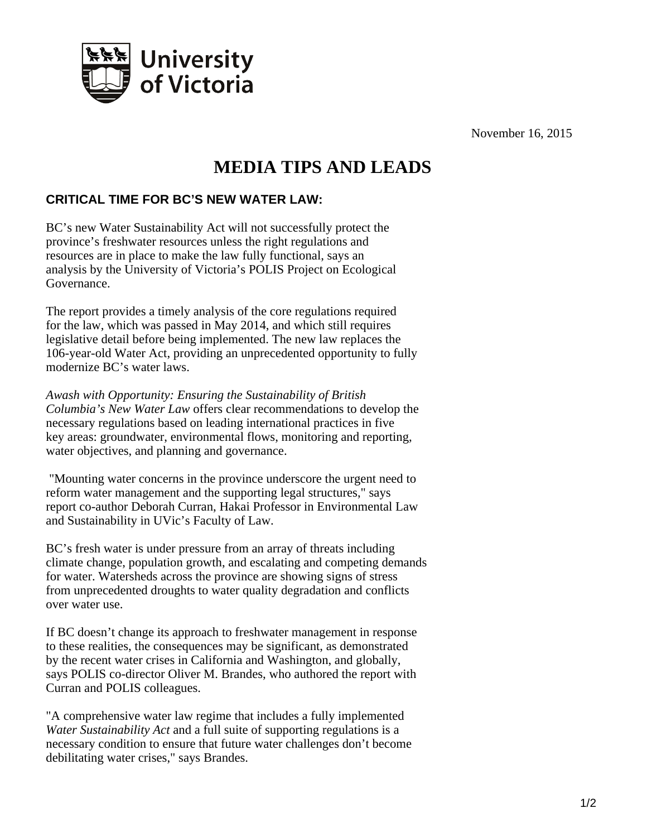

November 16, 2015

## **MEDIA TIPS AND LEADS**

## **CRITICAL TIME FOR BC'S NEW WATER LAW:**

BC's new Water Sustainability Act will not successfully protect the province's freshwater resources unless the right regulations and resources are in place to make the law fully functional, says an analysis by the University of Victoria's POLIS Project on Ecological Governance.

The report provides a timely analysis of the core regulations required for the law, which was passed in May 2014, and which still requires legislative detail before being implemented. The new law replaces the 106-year-old Water Act, providing an unprecedented opportunity to fully modernize BC's water laws.

*Awash with Opportunity: Ensuring the Sustainability of British Columbia's New Water Law* offers clear recommendations to develop the necessary regulations based on leading international practices in five key areas: groundwater, environmental flows, monitoring and reporting, water objectives, and planning and governance.

 "Mounting water concerns in the province underscore the urgent need to reform water management and the supporting legal structures," says report co-author Deborah Curran, Hakai Professor in Environmental Law and Sustainability in UVic's Faculty of Law.

BC's fresh water is under pressure from an array of threats including climate change, population growth, and escalating and competing demands for water. Watersheds across the province are showing signs of stress from unprecedented droughts to water quality degradation and conflicts over water use.

If BC doesn't change its approach to freshwater management in response to these realities, the consequences may be significant, as demonstrated by the recent water crises in California and Washington, and globally, says POLIS co-director Oliver M. Brandes, who authored the report with Curran and POLIS colleagues.

"A comprehensive water law regime that includes a fully implemented *Water Sustainability Act* and a full suite of supporting regulations is a necessary condition to ensure that future water challenges don't become debilitating water crises," says Brandes.